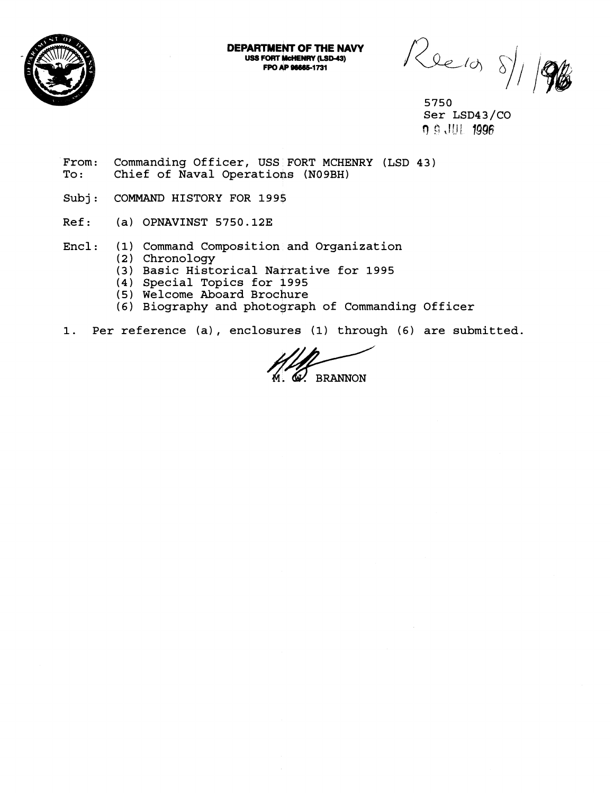

FPO AP 96665-1731

**DEPARTMENT OF THE NAVY**<br>
USS FORT MCHENRY (LSD-43)<br>
FPO AP 96665-1731

5750 Ser LSD43/CO rl **5:** ,I!! 1 1996

- From: Commanding Officer, USS FORT MCHENRY (LSD 43)<br>To: Chief of Naval Operations (N09BH) Chief of Naval Operations (NO9BH)
- Subj: COMMAND HISTORY FOR 1995
- Ref: (a) OPNAVINST 5750.12E
- Encl: (1) Command Composition and Organization
	- (2) Chronology
	- (3) Basic Historical Narrative for 1995
	- (4) Special Topics for 1995
	- (5) Welcome Aboard Brochure
	- (6) Biography and photograph of Commanding Officer
- **1.** Per reference (a) , enclosures (1) through (6) are submitted.

**BRANNON**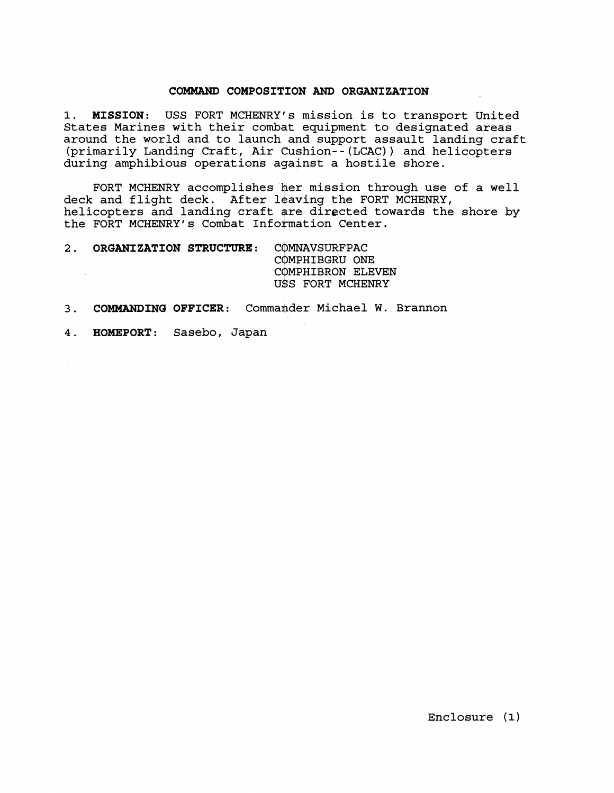### **COMMAND COMPOSITION AND ORGANIZATION**

1. MISSION: USS FORT MCHENRY's mission is to transport United States Marines with their combat equipment to designated areas around the world and to launch and support assault landing craft (primarily Landing Craft, Air cushion--(LCAC)) and helicopters during amphibious operations against a hostile shore.

FORT MCHENRY accomplishes her mission through use of a well deck and flight deck. After leaving the FORT MCHENRY, helicopters and landing craft are directed towards the shore by the FORT MCHENRY's Combat Information Center.

2. ORGANIZATION STRUCTURE: COMNAVSURFPAC COMPHIBGRU ONE COMPHIBRON ELEVEN USS FORT MCHENRY

## 3. **COMMANDING OFFICER:** Commander Michael W. Brannon

**4. HOMEPORT:** Sasebo, Japan

Enclosure **(1)**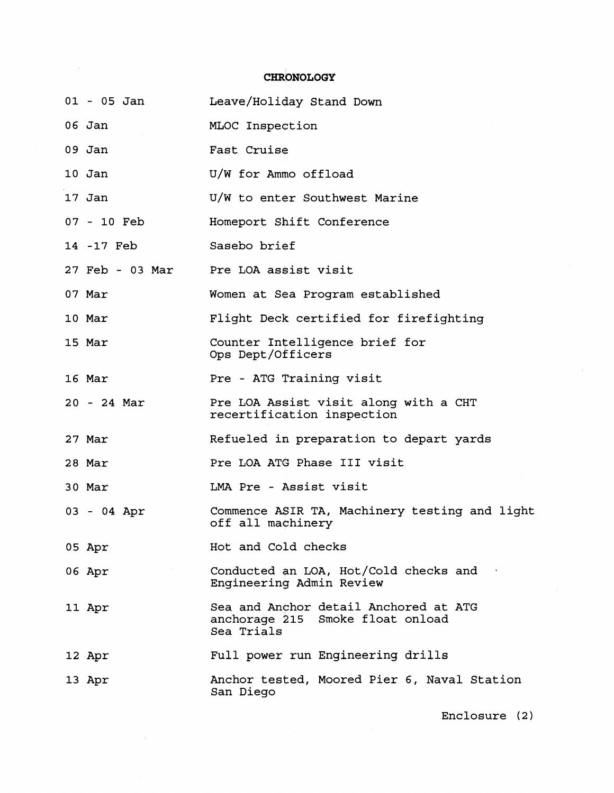# CHRONOLOGY

| $01 - 05$ Jan   | Leave/Holiday Stand Down                                                                |
|-----------------|-----------------------------------------------------------------------------------------|
| 06 Jan          | MLOC Inspection                                                                         |
| $09$ Jan        | Fast Cruise                                                                             |
| 10 Jan          | U/W for Ammo offload                                                                    |
| 17 Jan          | U/W to enter Southwest Marine                                                           |
| 07 - 10 Feb     | Homeport Shift Conference                                                               |
| 14 -17 Feb      | Sasebo brief                                                                            |
| 27 Feb - 03 Mar | Pre LOA assist visit                                                                    |
| 07 Mar          | Women at Sea Program established                                                        |
| 10 Mar          | Flight Deck certified for firefighting                                                  |
| 15 Mar          | Counter Intelligence brief for<br>Ops Dept/Officers                                     |
| 16 Mar          | Pre - ATG Training visit                                                                |
| 20 - 24 Mar     | Pre LOA Assist visit along with a CHT<br>recertification inspection                     |
| 27 Mar          | Refueled in preparation to depart yards                                                 |
| 28 Mar          | Pre LOA ATG Phase III visit                                                             |
| 30 Mar          | LMA Pre - Assist visit                                                                  |
| 03 - 04 Apr     | Commence ASIR TA, Machinery testing and light<br>off all machinery                      |
| 05 Apr          | Hot and Cold checks                                                                     |
| 06 Apr          | Conducted an LOA, Hot/Cold checks and<br>Engineering Admin Review                       |
| 11 Apr          | Sea and Anchor detail Anchored at ATG<br>anchorage 215 Smoke float onload<br>Sea Trials |
| 12 Apr          | Full power run Engineering drills                                                       |
| 13 Apr          | Anchor tested, Moored Pier 6, Naval Station<br>San Diego                                |

 $\sim 10^7$ 

Enclosure **(2** )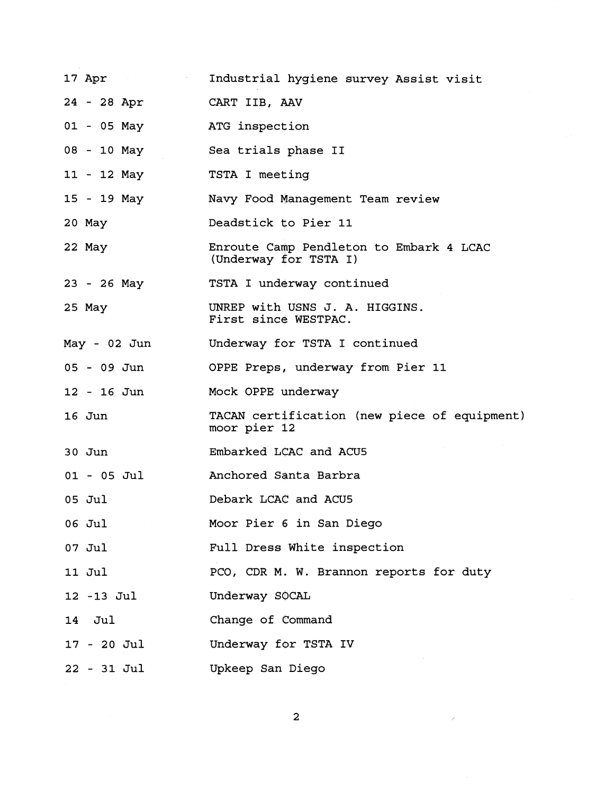| 17 Apr         | Industrial hygiene survey Assist visit                           |
|----------------|------------------------------------------------------------------|
| 24 - 28 Apr    | CART IIB, AAV                                                    |
| 01 - 05 May    | ATG inspection                                                   |
| 08 - 10 May    | Sea trials phase II                                              |
| 11 - 12 May    | TSTA I meeting                                                   |
| 15 - 19 May    | Navy Food Management Team review                                 |
| 20 May         | Deadstick to Pier 11                                             |
| 22 May         | Enroute Camp Pendleton to Embark 4 LCAC<br>(Underway for TSTA I) |
| $23 - 26$ May  | TSTA I underway continued                                        |
| 25 May         | UNREP with USNS J. A. HIGGINS.<br>First since WESTPAC.           |
| $May - 02 Jun$ | Underway for TSTA I continued                                    |
| $05 - 09$ Jun  | OPPE Preps, underway from Pier 11                                |
| $12 - 16$ Jun  | Mock OPPE underway                                               |
| 16 Jun         | TACAN certification (new piece of equipment)<br>moor pier 12     |
| $30$ Jun       | Embarked LCAC and ACU5                                           |
| $01 - 05$ Jul  | Anchored Santa Barbra                                            |
| 05 Jul         | Debark LCAC and ACU5                                             |
| 06 Jul         | Moor Pier 6 in San Diego                                         |
| 07 Jul         | Full Dress White inspection                                      |
| 11 Jul         | PCO, CDR M. W. Brannon reports for duty                          |
| 12 -13 Jul     | Underway SOCAL                                                   |
| 14 Jul         | Change of Command                                                |
| 17 - 20 Jul    | Underway for TSTA IV                                             |
| $22 - 31$ Jul  | Upkeep San Diego                                                 |

 $\overline{\mathbf{c}}$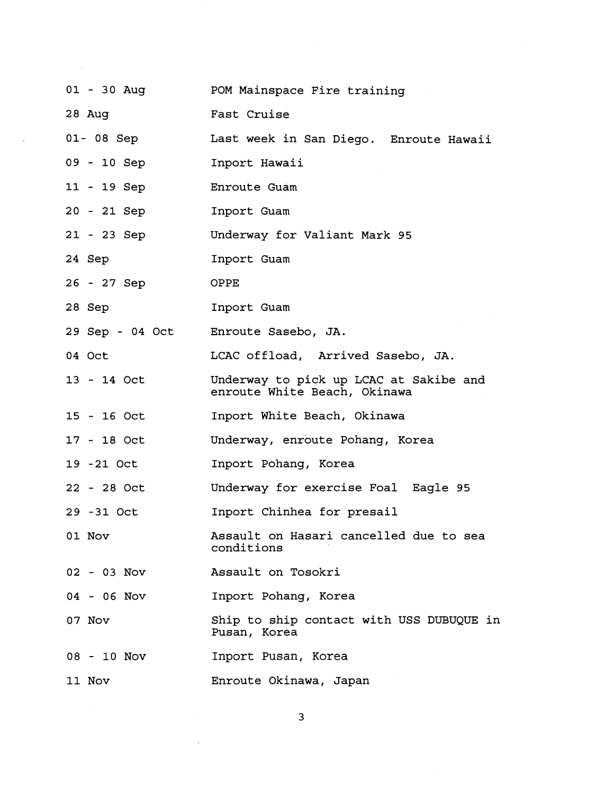| 01 - 30 Aug     | POM Mainspace Fire training                                            |
|-----------------|------------------------------------------------------------------------|
| $28$ Aug        | Fast Cruise                                                            |
| 01-08 Sep       | Last week in San Diego. Enroute Hawaii                                 |
| 09 - 10 Sep     | Inport Hawaii                                                          |
| 11 - 19 Sep     | Enroute Guam                                                           |
| 20 - 21 Sep     | Inport Guam                                                            |
| 21 - 23 Sep     | Underway for Valiant Mark 95                                           |
| 24 Sep          | Inport Guam                                                            |
| 26 - 27 Sep     | <b>OPPE</b>                                                            |
| 28 Sep          | Inport Guam                                                            |
| 29 Sep - 04 Oct | Enroute Sasebo, JA.                                                    |
| 04 Oct          | LCAC offload, Arrived Sasebo, JA.                                      |
| 13 - 14 Oct     | Underway to pick up LCAC at Sakibe and<br>enroute White Beach, Okinawa |
| 15 - 16 Oct     | Inport White Beach, Okinawa                                            |
| 17 - 18 Oct     | Underway, enroute Pohang, Korea                                        |
| 19 -21 Oct      | Inport Pohang, Korea                                                   |
| 22 - 28 Oct     | Underway for exercise Foal Eagle 95                                    |
| 29 - 31 Oct     | Inport Chinhea for presail                                             |
| 01 Nov          | Assault on Hasari cancelled due to sea<br>conditions                   |
| 02 - 03 Nov     | Assault on Tosokri                                                     |
| 04 - 06 Nov     | Inport Pohang, Korea                                                   |
| 07 Nov          | Ship to ship contact with USS DUBUQUE in<br>Pusan, Korea               |
| 08 - 10 Nov     | Inport Pusan, Korea                                                    |
| 11 Nov          | Enroute Okinawa, Japan                                                 |

 $\label{eq:2.1} \frac{1}{\sqrt{2}}\left(\frac{1}{\sqrt{2}}\right)^{2} \left(\frac{1}{\sqrt{2}}\right)^{2} \left(\frac{1}{\sqrt{2}}\right)^{2} \left(\frac{1}{\sqrt{2}}\right)^{2} \left(\frac{1}{\sqrt{2}}\right)^{2} \left(\frac{1}{\sqrt{2}}\right)^{2} \left(\frac{1}{\sqrt{2}}\right)^{2} \left(\frac{1}{\sqrt{2}}\right)^{2} \left(\frac{1}{\sqrt{2}}\right)^{2} \left(\frac{1}{\sqrt{2}}\right)^{2} \left(\frac{1}{\sqrt{2}}\right)^{2} \left(\$ 

 $\overline{3}$ 

 $\label{eq:2.1} \frac{1}{\sqrt{2\pi}}\int_{\mathbb{R}^3}\frac{1}{\sqrt{2\pi}}\left(\frac{1}{\sqrt{2\pi}}\right)^2\frac{1}{\sqrt{2\pi}}\int_{\mathbb{R}^3}\frac{1}{\sqrt{2\pi}}\frac{1}{\sqrt{2\pi}}\frac{1}{\sqrt{2\pi}}\frac{1}{\sqrt{2\pi}}\frac{1}{\sqrt{2\pi}}\frac{1}{\sqrt{2\pi}}\frac{1}{\sqrt{2\pi}}\frac{1}{\sqrt{2\pi}}\frac{1}{\sqrt{2\pi}}\frac{1}{\sqrt{2\pi}}\frac{1}{\sqrt{2\pi}}\frac{$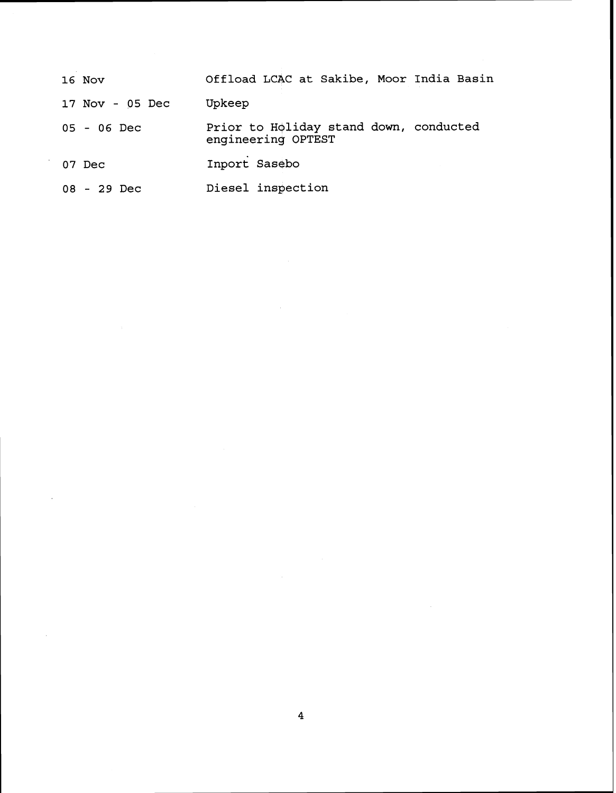| 16 Nov          | Offload LCAC at Sakibe, Moor India Basin                     |
|-----------------|--------------------------------------------------------------|
| 17 Nov - 05 Dec | Upkeep                                                       |
| $05 - 06$ Dec   | Prior to Holiday stand down, conducted<br>engineering OPTEST |
| 07 Dec          | Inport Sasebo                                                |
| $08 - 29$ Dec   | Diesel inspection                                            |

 $\sim$ 

 $\bar{\beta}$ 

 $\sim$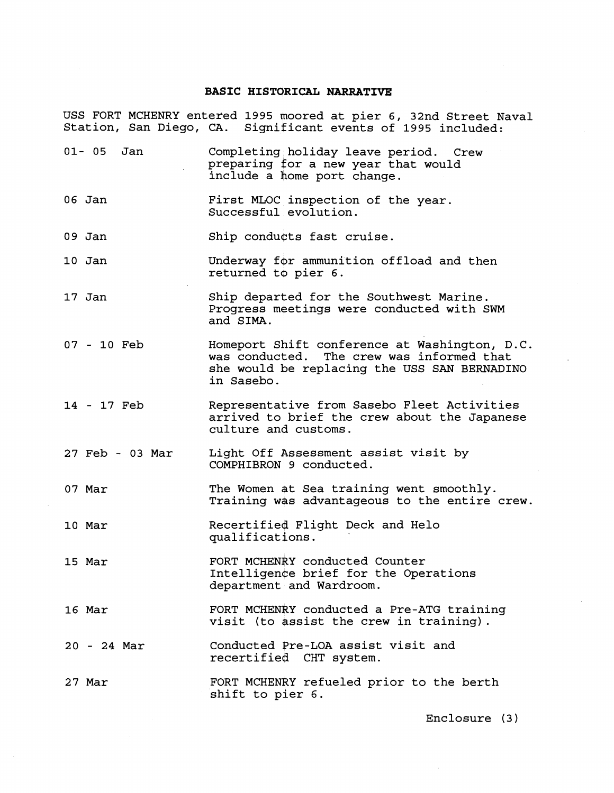#### **BASIC H1STdRICAL NARRATIVE**

USS FORT MCHENRY entered **1995** moored at pier 6, 32nd Street Naval Station, San Diego, CA. Significant events of **1995** included:

**01- 05** Jan Completing holiday leave period. Crew preparing for a new year that would include a home port change. 06 Jan First MLOC inspection of the year. Successful evolution. 09 Jan Ship conducts fast cruise. **10** Jan **17** Jan **07** - **10** Feb **14** - **17** Feb **27** Feb - 03 Mar **07** Mar **10** Mar **15** Mar **16** Mar **20** - **24** Mar 27 Mar Underway for ammunition offload and then returned to pier **6.**  Ship departed for the Southwest Marine. Progress meetings were conducted with SWM and SIMA. Homeport Shift conference at Washington, D.C. was conducted. The crew was informed that she would be replacing the USS SAN BERNADINO in Sasebo. Representative from Sasebo Fleet Activities arrived to brief the crew about the Japanese culture and customs. Light Off hssessment assist visit by COMPHIBRON **9** conducted. The Women at Sea training went smoothly. Training was advantageous to the entire crew. Recertified Flight Deck and Helo qualifications. FORT MCHENRY conducted Counter Intelligence brief for the Operations department and Wardroom. FORT MCHENRY conducted a Pre-ATG training visit (to assist the crew in training). Conducted Pre-LOA assist visit and recertified CHT system. FORT MCHENRY refueled prior to the berth shift to pier 6.

Enclosure (3)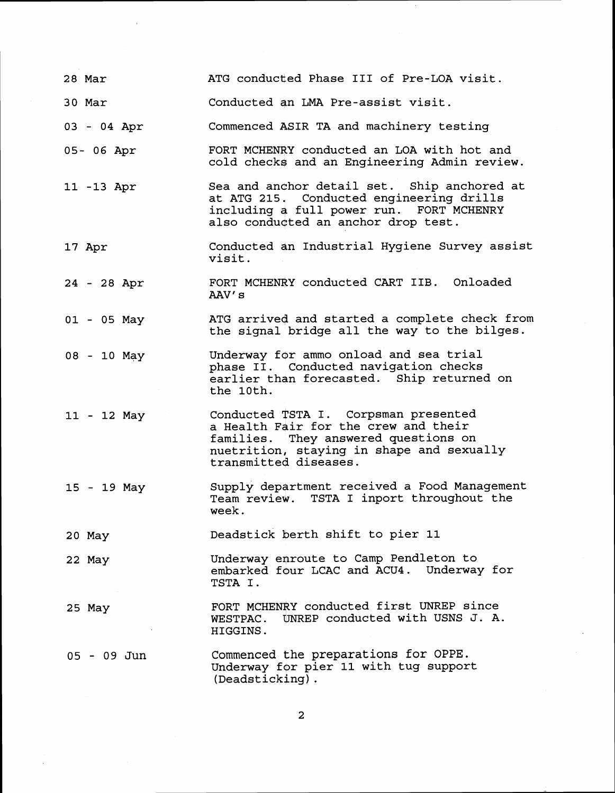| 28 Mar      | ATG conducted Phase III of Pre-LOA visit.                                                                                                                                                  |
|-------------|--------------------------------------------------------------------------------------------------------------------------------------------------------------------------------------------|
| 30 Mar      | Conducted an LMA Pre-assist visit.                                                                                                                                                         |
| 03 - 04 Apr | Commenced ASIR TA and machinery testing                                                                                                                                                    |
| 05-06 Apr   | FORT MCHENRY conducted an LOA with hot and<br>cold checks and an Engineering Admin review.                                                                                                 |
| 11 -13 Apr  | Sea and anchor detail set. Ship anchored at<br>at ATG 215. Conducted engineering drills<br>including a full power run. FORT MCHENRY<br>also conducted an anchor drop test.                 |
| 17 Apr      | Conducted an Industrial Hygiene Survey assist<br>visit.                                                                                                                                    |
| 24 - 28 Apr | FORT MCHENRY conducted CART IIB. Onloaded<br>AAV's                                                                                                                                         |
| 01 - 05 May | ATG arrived and started a complete check from<br>the signal bridge all the way to the bilges.                                                                                              |
| 08 - 10 May | Underway for ammo onload and sea trial<br>phase II. Conducted navigation checks<br>earlier than forecasted. Ship returned on<br>the 10th.                                                  |
| 11 - 12 May | Conducted TSTA I. Corpsman presented<br>a Health Fair for the crew and their<br>families. They answered questions on<br>nuetrition, staying in shape and sexually<br>transmitted diseases. |
| 15 - 19 May | Supply department received a Food Management<br>Team review. TSTA I inport throughout the<br>week.                                                                                         |
| 20 May      | Deadstick berth shift to pier 11                                                                                                                                                           |
| 22 May      | Underway enroute to Camp Pendleton to<br>embarked four LCAC and ACU4. Underway for<br>TSTA I.                                                                                              |
| 25 May      | FORT MCHENRY conducted first UNREP since<br>UNREP conducted with USNS J. A.<br>WESTPAC.<br>HIGGINS.                                                                                        |
| 05 - 09 Jun | Commenced the preparations for OPPE.<br>Underway for pier 11 with tug support<br>(Deadsticking).                                                                                           |

 $\overline{\mathbf{c}}$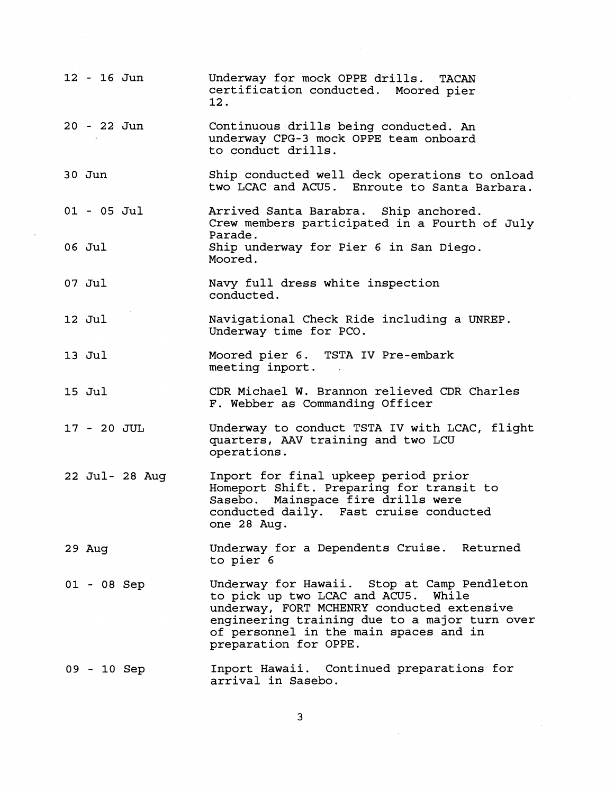| 12 - 16 Jun   |                | Underway for mock OPPE drills. TACAN<br>certification conducted. Moored pier<br>12.                                                                                                                                                                  |
|---------------|----------------|------------------------------------------------------------------------------------------------------------------------------------------------------------------------------------------------------------------------------------------------------|
| 20 - 22 Jun   |                | Continuous drills being conducted. An<br>underway CPG-3 mock OPPE team onboard<br>to conduct drills.                                                                                                                                                 |
| $30$ Jun      |                | Ship conducted well deck operations to onload<br>two LCAC and ACU5. Enroute to Santa Barbara.                                                                                                                                                        |
| $01 - 05$ Jul |                | Arrived Santa Barabra. Ship anchored.<br>Crew members participated in a Fourth of July                                                                                                                                                               |
| 06 Jul        |                | Parade.<br>Ship underway for Pier 6 in San Diego.<br>Moored.                                                                                                                                                                                         |
| 07 Jul        |                | Navy full dress white inspection<br>conducted.                                                                                                                                                                                                       |
| 12 Jul        |                | Navigational Check Ride including a UNREP.<br>Underway time for PCO.                                                                                                                                                                                 |
| 13 Jul        |                | Moored pier 6. TSTA IV Pre-embark<br>meeting inport.                                                                                                                                                                                                 |
| 15 Jul        |                | CDR Michael W. Brannon relieved CDR Charles<br>F. Webber as Commanding Officer                                                                                                                                                                       |
| 17 - 20 JUL   |                | Underway to conduct TSTA IV with LCAC, flight<br>quarters, AAV training and two LCU<br>operations.                                                                                                                                                   |
|               | 22 Jul- 28 Aug | Inport for final upkeep period prior<br>Homeport Shift. Preparing for transit to<br>Sasebo. Mainspace fire drills were<br>conducted daily. Fast cruise conducted<br>one 28 Aug.                                                                      |
| 29 Aug        |                | Underway for a Dependents Cruise. Returned<br>to pier 6                                                                                                                                                                                              |
| $01 - 08$ Sep |                | Underway for Hawaii. Stop at Camp Pendleton<br>to pick up two LCAC and ACU5. While<br>underway, FORT MCHENRY conducted extensive<br>engineering training due to a major turn over<br>of personnel in the main spaces and in<br>preparation for OPPE. |
| 09 - 10 Sep   |                | Inport Hawaii. Continued preparations for<br>arrival in Sasebo.                                                                                                                                                                                      |

 $\ddot{\phantom{a}}$ 

 $\frac{1}{2}$ 

 $\overline{\mathbf{3}}$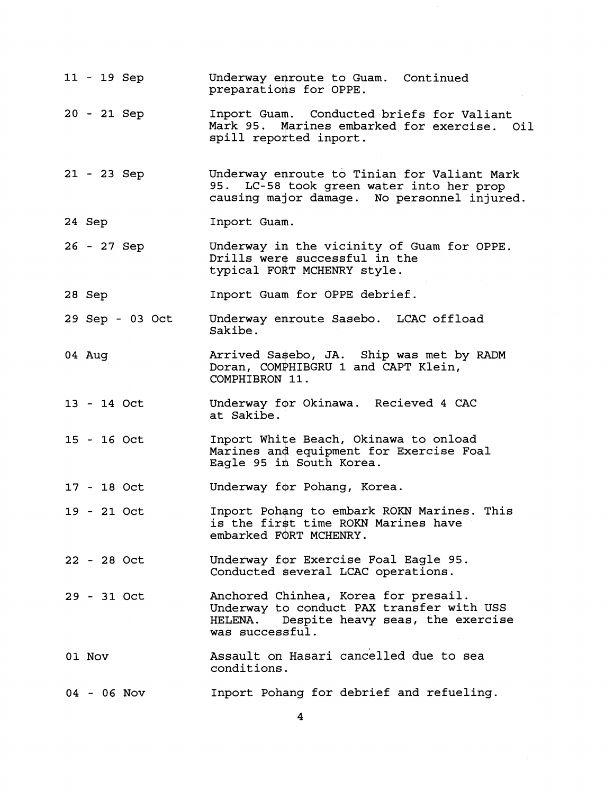| 11 - 19 Sep     | Underway enroute to Guam. Continued<br>preparations for OPPE.                                                                                    |
|-----------------|--------------------------------------------------------------------------------------------------------------------------------------------------|
| 20 - 21 Sep     | Inport Guam. Conducted briefs for Valiant<br>Mark 95. Marines embarked for exercise. Oil<br>spill reported inport.                               |
| 21 - 23 Sep     | Underway enroute to Tinian for Valiant Mark<br>95. LC-58 took green water into her prop<br>causing major damage. No personnel injured.           |
| 24 Sep          | Inport Guam.                                                                                                                                     |
| 26 - 27 Sep     | Underway in the vicinity of Guam for OPPE.<br>Drills were successful in the<br>typical FORT MCHENRY style.                                       |
| 28 Sep          | Inport Guam for OPPE debrief.                                                                                                                    |
| 29 Sep - 03 Oct | Underway enroute Sasebo. LCAC offload<br>Sakibe.                                                                                                 |
| 04 Aug          | Arrived Sasebo, JA. Ship was met by RADM<br>Doran, COMPHIBGRU 1 and CAPT Klein,<br>COMPHIBRON 11.                                                |
| 13 - 14 Oct     | Underway for Okinawa. Recieved 4 CAC<br>at Sakibe.                                                                                               |
| $15 - 16$ Oct   | Inport White Beach, Okinawa to onload<br>Marines and equipment for Exercise Foal<br>Eagle 95 in South Korea.                                     |
| $17 - 18$ Oct   | Underway for Pohang, Korea.                                                                                                                      |
| 19 - 21 Oct     | Inport Pohang to embark ROKN Marines. This<br>is the first time ROKN Marines have<br>embarked FORT MCHENRY.                                      |
| 22 - 28 Oct     | Underway for Exercise Foal Eagle 95.<br>Conducted several LCAC operations.                                                                       |
| 29 - 31 Oct     | Anchored Chinhea, Korea for presail.<br>Underway to conduct PAX transfer with USS<br>HELENA. Despite heavy seas, the exercise<br>was successful. |
| 01 Nov          | Assault on Hasari cancelled due to sea<br>conditions.                                                                                            |
| $04 - 06$ Nov   | Inport Pohang for debrief and refueling.                                                                                                         |

 $\overline{\mathbf{4}}$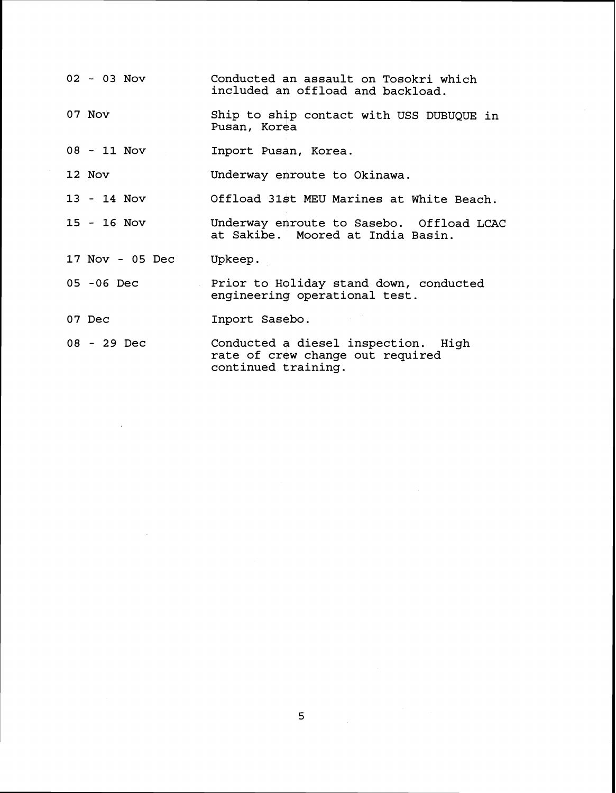- **02 03** Nov Conducted an assault on Tosokri which included an offload and backload.
- **07** Nov Ship to ship contact with USS DUBUQUE in Pusan, Korea
- **08 11** NOV Inport Pusan, Korea.

**12** Nov Underway enroute to Okinawa.

13 - 14 NOV Offload 31st MEU Marines at White Beach.

**15** - 16 NOV Underway enroute to Sasebo. Offload LCAC at Sakibe. Moored at India Basin.

- **17** Nov **05** Dec Upkeep.
- **05 -06** Dec Prior to Holiday stand down, conducted engineering operational test.
- 07 Dec Inport Sasebo.
- **08**  29 Dec Conducted a diesel inspection. High rate of crew change out required continued training.